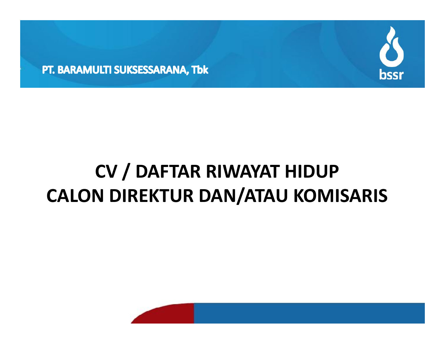



# **CV / DAFTAR RIWAYAT HIDUP CALON DIREKTUR DAN/ATAU KOMISARIS**

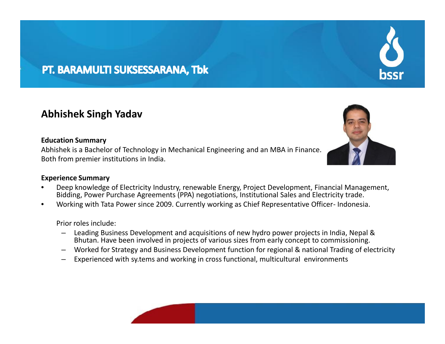### PT. BARAMULTI SUKSESSARANA, Tbk

#### **Abhishek Singh Yadav**

#### **Education Summary**

Abhishek is a Bachelor of Technology in Mechanical Engineering and an MBA in Finance. Both from premier institutions in India.

#### **Experience Summary**

- Deep knowledge of Electricity Industry, renewable Energy, Project Development, Financial Management, Bidding, Power Purchase Agreements (PPA) negotiations, Institutional Sales and Electricity trade.
- Working with Tata Power since 2009. Currently working as Chief Representative Officer- Indonesia.

#### Prior roles include:

- Leading Business Development and acquisitions of new hydro power projects in India, Nepal & Bhutan. Have been involved in projects of various sizes from early concept to commissioning.
- Worked for Strategy and Business Development function for regional & national Trading of electricity
- Experienced with sy.tems and working in cross functional, multicultural environments





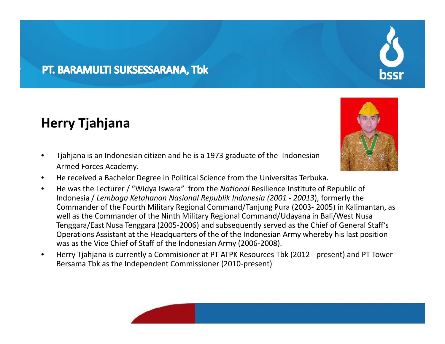### PT. BARAMULTI SUKSESSARANA, Tbk

## **Herry Tjahjana**

- Tjahjana is an Indonesian citizen and he is a 1973 graduate of the Indonesian Armed Forces Academy.
- He received a Bachelor Degree in Political Science from the Universitas Terbuka.
- He was the Lecturer / "Widya Iswara" from the *National* Resilience Institute of Republic of Indonesia / *Lembaga Ketahanan Nasional Republik Indonesia (2001 - 20013*), formerly the Commander of the Fourth Military Regional Command/Tanjung Pura (2003- 2005) in Kalimantan, as well as the Commander of the Ninth Military Regional Command/Udayana in Bali/West Nusa Tenggara/East Nusa Tenggara (2005-2006) and subsequently served as the Chief of General Staff's Operations Assistant at the Headquarters of the of the Indonesian Army whereby his last position was as the Vice Chief of Staff of the Indonesian Army (2006-2008).
- Herry Tjahjana is currently a Commisioner at PT ATPK Resources Tbk (2012 present) and PT Tower Bersama Tbk as the Independent Commissioner (2010-present)